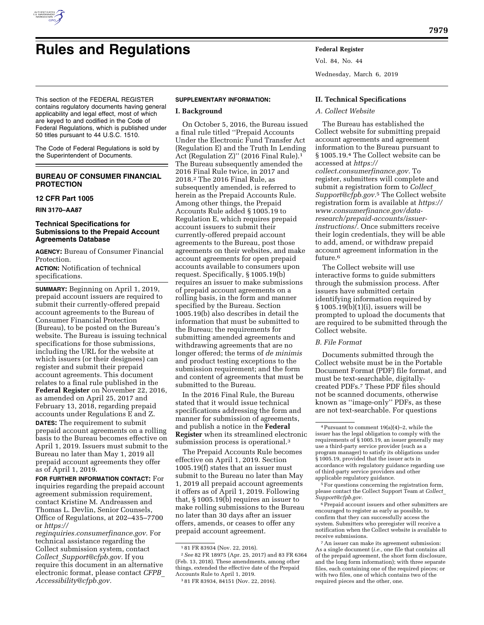

# **Rules and Regulations Federal Register**

Vol. 84, No. 44 Wednesday, March 6, 2019

This section of the FEDERAL REGISTER contains regulatory documents having general applicability and legal effect, most of which are keyed to and codified in the Code of Federal Regulations, which is published under 50 titles pursuant to 44 U.S.C. 1510.

The Code of Federal Regulations is sold by the Superintendent of Documents.

# **BUREAU OF CONSUMER FINANCIAL PROTECTION**

## **12 CFR Part 1005**

**RIN 3170–AA87** 

#### **Technical Specifications for Submissions to the Prepaid Account Agreements Database**

**AGENCY:** Bureau of Consumer Financial Protection.

**ACTION:** Notification of technical specifications.

**SUMMARY:** Beginning on April 1, 2019, prepaid account issuers are required to submit their currently-offered prepaid account agreements to the Bureau of Consumer Financial Protection (Bureau), to be posted on the Bureau's website. The Bureau is issuing technical specifications for those submissions, including the URL for the website at which issuers (or their designees) can register and submit their prepaid account agreements. This document relates to a final rule published in the **Federal Register** on November 22, 2016, as amended on April 25, 2017 and February 13, 2018, regarding prepaid accounts under Regulations E and Z. **DATES:** The requirement to submit

prepaid account agreements on a rolling basis to the Bureau becomes effective on April 1, 2019. Issuers must submit to the Bureau no later than May 1, 2019 all prepaid account agreements they offer as of April 1, 2019.

**FOR FURTHER INFORMATION CONTACT:** For inquiries regarding the prepaid account agreement submission requirement, contact Kristine M. Andreassen and Thomas L. Devlin, Senior Counsels, Office of Regulations, at 202–435–7700 or *[https://](https://reginquiries.consumerfinance.gov)*

*[reginquiries.consumerfinance.gov.](https://reginquiries.consumerfinance.gov)* For technical assistance regarding the Collect submission system, contact *Collect*\_*[Support@cfpb.gov.](mailto:Collect_Support@cfpb.gov)* If you require this document in an alternative electronic format, please contact *[CFPB](mailto:CFPB_Accessibility@cfpb.gov)*\_ *[Accessibility@cfpb.gov.](mailto:CFPB_Accessibility@cfpb.gov)* 

### **SUPPLEMENTARY INFORMATION:**

#### **I. Background**

On October 5, 2016, the Bureau issued a final rule titled ''Prepaid Accounts Under the Electronic Fund Transfer Act (Regulation E) and the Truth In Lending Act (Regulation Z)" (2016 Final Rule).<sup>1</sup> The Bureau subsequently amended the 2016 Final Rule twice, in 2017 and 2018.2 The 2016 Final Rule, as subsequently amended, is referred to herein as the Prepaid Accounts Rule. Among other things, the Prepaid Accounts Rule added § 1005.19 to Regulation E, which requires prepaid account issuers to submit their currently-offered prepaid account agreements to the Bureau, post those agreements on their websites, and make account agreements for open prepaid accounts available to consumers upon request. Specifically, § 1005.19(b) requires an issuer to make submissions of prepaid account agreements on a rolling basis, in the form and manner specified by the Bureau. Section 1005.19(b) also describes in detail the information that must be submitted to the Bureau; the requirements for submitting amended agreements and withdrawing agreements that are no longer offered; the terms of *de minimis*  and product testing exceptions to the submission requirement; and the form and content of agreements that must be submitted to the Bureau.

In the 2016 Final Rule, the Bureau stated that it would issue technical specifications addressing the form and manner for submission of agreements, and publish a notice in the **Federal Register** when its streamlined electronic submission process is operational.3

The Prepaid Accounts Rule becomes effective on April 1, 2019. Section 1005.19(f) states that an issuer must submit to the Bureau no later than May 1, 2019 all prepaid account agreements it offers as of April 1, 2019. Following that, § 1005.19(b) requires an issuer to make rolling submissions to the Bureau no later than 30 days after an issuer offers, amends, or ceases to offer any prepaid account agreement.

#### **II. Technical Specifications**

#### *A. Collect Website*

The Bureau has established the Collect website for submitting prepaid account agreements and agreement information to the Bureau pursuant to § 1005.19.4 The Collect website can be accessed at *[https://](https://collect.consumerfinance.gov) [collect.consumerfinance.gov.](https://collect.consumerfinance.gov)* To register, submitters will complete and submit a registration form to *[Collect](mailto:Collect_Support@cfpb.gov)*\_ *[Support@cfpb.gov.](mailto:Collect_Support@cfpb.gov)*5 The Collect website registration form is available at *[https://](https://www.consumerfinance.gov/data-research/prepaid-accounts/issuer-instructions/)  [www.consumerfinance.gov/data](https://www.consumerfinance.gov/data-research/prepaid-accounts/issuer-instructions/)[research/prepaid-accounts/issuer](https://www.consumerfinance.gov/data-research/prepaid-accounts/issuer-instructions/)[instructions/.](https://www.consumerfinance.gov/data-research/prepaid-accounts/issuer-instructions/)* Once submitters receive their login credentials, they will be able to add, amend, or withdraw prepaid account agreement information in the future.<sup>6</sup>

The Collect website will use interactive forms to guide submitters through the submission process. After issuers have submitted certain identifying information required by § 1005.19(b)(1)(i), issuers will be prompted to upload the documents that are required to be submitted through the Collect website.

#### *B. File Format*

Documents submitted through the Collect website must be in the Portable Document Format (PDF) file format, and must be text-searchable, digitallycreated PDFs.7 These PDF files should not be scanned documents, otherwise known as ''image-only'' PDFs, as these are not text-searchable. For questions

6Prepaid account issuers and other submitters are encouraged to register as early as possible, to confirm that they can successfully access the system. Submitters who preregister will receive a notification when the Collect website is available to receive submissions.

<sup>1</sup> 81 FR 83934 (Nov. 22, 2016).

<sup>2</sup>*See* 82 FR 18975 (Apr. 25, 2017) and 83 FR 6364 (Feb. 13, 2018). These amendments, among other things, extended the effective date of the Prepaid Accounts Rule to April 1, 2019.

<sup>3</sup> 81 FR 83934, 84151 (Nov. 22, 2016).

<sup>4</sup>Pursuant to comment 19(a)(4)–2, while the issuer has the legal obligation to comply with the requirements of § 1005.19, an issuer generally may use a third-party service provider (such as a program manager) to satisfy its obligations under § 1005.19, provided that the issuer acts in accordance with regulatory guidance regarding use of third-party service providers and other applicable regulatory guidance.

<sup>5</sup>For questions concerning the registration form, please contact the Collect Support Team at *[Collect](mailto:Collect_Support@cfpb.gov)*\_ *[Support@cfpb.gov.](mailto:Collect_Support@cfpb.gov)* 

<sup>7</sup>An issuer can make its agreement submission: As a single document (*i.e.,* one file that contains all of the prepaid agreement, the short form disclosure, and the long form information); with three separate files, each containing one of the required pieces; or with two files, one of which contains two of the required pieces and the other, one.